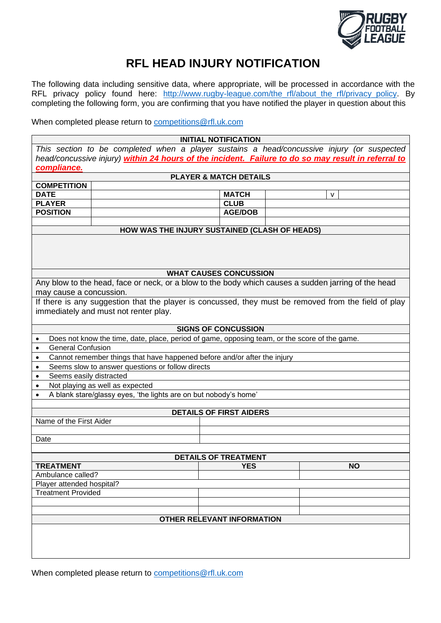

## **RFL HEAD INJURY NOTIFICATION**

The following data including sensitive data, where appropriate, will be processed in accordance with the RFL privacy policy found here: [http://www.rugby-league.com/the\\_rfl/about\\_the\\_rfl/privacy\\_policy.](http://www.rugby-league.com/the_rfl/about_the_rfl/privacy_policy) By completing the following form, you are confirming that you have notified the player in question about this

When completed please return to [competitions@rfl.uk.com](mailto:competitions@rfl.uk.com)

**INITIAL NOTIFICATION** *This section to be completed when a player sustains a head/concussive injury (or suspected head/concussive injury) within 24 hours of the incident. Failure to do so may result in referral to compliance.* **PLAYER & MATCH DETAILS COMPETITION DATE MATCH** v **PLAYER CLUB** POSITION | AGE/DOB **HOW WAS THE INJURY SUSTAINED (CLASH OF HEADS) WHAT CAUSES CONCUSSION** Any blow to the head, face or neck, or a blow to the body which causes a sudden jarring of the head may cause a concussion. If there is any suggestion that the player is concussed, they must be removed from the field of play immediately and must not renter play. **SIGNS OF CONCUSSION** • Does not know the time, date, place, period of game, opposing team, or the score of the game. • General Confusion • Cannot remember things that have happened before and/or after the injury • Seems slow to answer questions or follow directs Seems easily distracted • Not playing as well as expected • A blank stare/glassy eyes, 'the lights are on but nobody's home' **DETAILS OF FIRST AIDERS** Name of the First Aider Date **DETAILS OF TREATMENT TREATMENT YES NO** Ambulance called? Player attended hospital? Treatment Provided **OTHER RELEVANT INFORMATION**

When completed please return to [competitions@rfl.uk.com](mailto:competitions@rfl.uk.com)